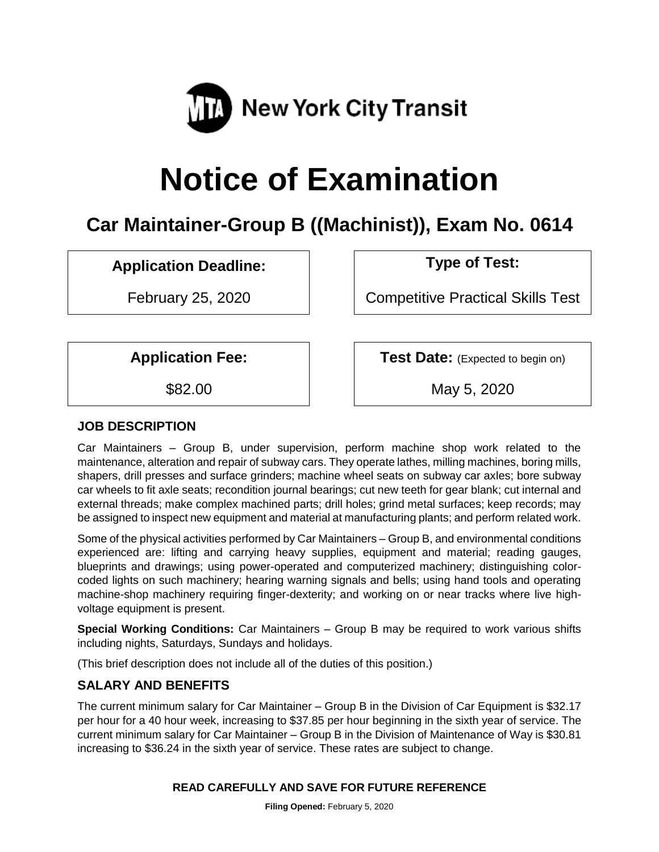

# **Notice of Examination**

# **Car Maintainer-Group B ((Machinist)), Exam No. 0614**

## **Application Deadline: Type of Test:**

February 25, 2020 | Competitive Practical Skills Test

**Application Fee:**  $\vert$  **Test Date:** (Expected to begin on)

\$82.00 May 5, 2020

#### **JOB DESCRIPTION**

Car Maintainers – Group B, under supervision, perform machine shop work related to the maintenance, alteration and repair of subway cars. They operate lathes, milling machines, boring mills, shapers, drill presses and surface grinders; machine wheel seats on subway car axles; bore subway car wheels to fit axle seats; recondition journal bearings; cut new teeth for gear blank; cut internal and external threads; make complex machined parts; drill holes; grind metal surfaces; keep records; may be assigned to inspect new equipment and material at manufacturing plants; and perform related work.

Some of the physical activities performed by Car Maintainers – Group B, and environmental conditions experienced are: lifting and carrying heavy supplies, equipment and material; reading gauges, blueprints and drawings; using power-operated and computerized machinery; distinguishing colorcoded lights on such machinery; hearing warning signals and bells; using hand tools and operating machine-shop machinery requiring finger-dexterity; and working on or near tracks where live highvoltage equipment is present.

**Special Working Conditions:** Car Maintainers – Group B may be required to work various shifts including nights, Saturdays, Sundays and holidays.

(This brief description does not include all of the duties of this position.)

### **SALARY AND BENEFITS**

The current minimum salary for Car Maintainer – Group B in the Division of Car Equipment is \$32.17 per hour for a 40 hour week, increasing to \$37.85 per hour beginning in the sixth year of service. The current minimum salary for Car Maintainer – Group B in the Division of Maintenance of Way is \$30.81 increasing to \$36.24 in the sixth year of service. These rates are subject to change.

#### **READ CAREFULLY AND SAVE FOR FUTURE REFERENCE**

**Filing Opened:** February 5, 2020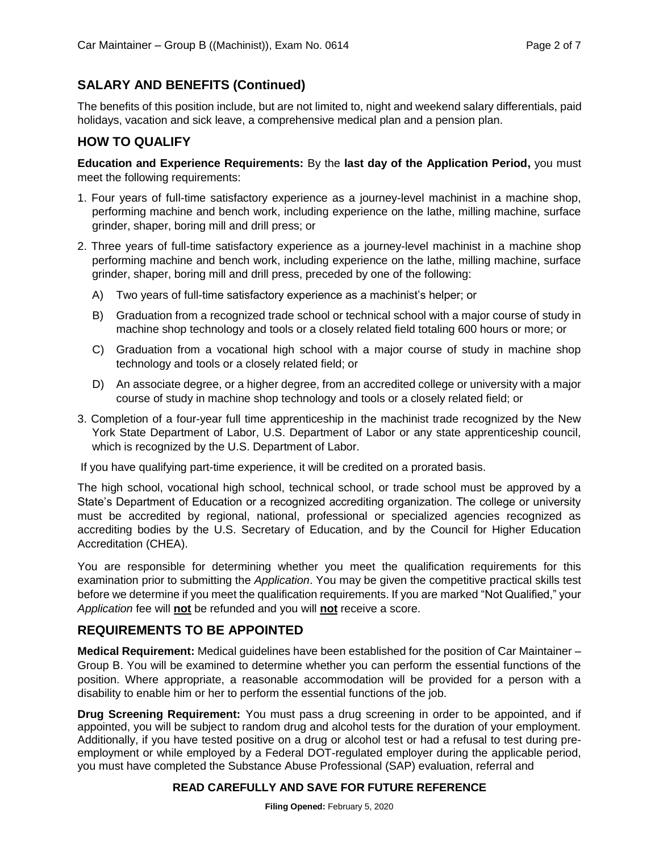#### **SALARY AND BENEFITS (Continued)**

The benefits of this position include, but are not limited to, night and weekend salary differentials, paid holidays, vacation and sick leave, a comprehensive medical plan and a pension plan.

#### **HOW TO QUALIFY**

**Education and Experience Requirements:** By the **last day of the Application Period,** you must meet the following requirements:

- 1. Four years of full-time satisfactory experience as a journey-level machinist in a machine shop, performing machine and bench work, including experience on the lathe, milling machine, surface grinder, shaper, boring mill and drill press; or
- 2. Three years of full-time satisfactory experience as a journey-level machinist in a machine shop performing machine and bench work, including experience on the lathe, milling machine, surface grinder, shaper, boring mill and drill press, preceded by one of the following:
	- A) Two years of full-time satisfactory experience as a machinist's helper; or
	- B) Graduation from a recognized trade school or technical school with a major course of study in machine shop technology and tools or a closely related field totaling 600 hours or more; or
	- C) Graduation from a vocational high school with a major course of study in machine shop technology and tools or a closely related field; or
	- D) An associate degree, or a higher degree, from an accredited college or university with a major course of study in machine shop technology and tools or a closely related field; or
- 3. Completion of a four-year full time apprenticeship in the machinist trade recognized by the New York State Department of Labor, U.S. Department of Labor or any state apprenticeship council, which is recognized by the U.S. Department of Labor.

If you have qualifying part-time experience, it will be credited on a prorated basis.

The high school, vocational high school, technical school, or trade school must be approved by a State's Department of Education or a recognized accrediting organization. The college or university must be accredited by regional, national, professional or specialized agencies recognized as accrediting bodies by the U.S. Secretary of Education, and by the Council for Higher Education Accreditation (CHEA).

You are responsible for determining whether you meet the qualification requirements for this examination prior to submitting the *Application*. You may be given the competitive practical skills test before we determine if you meet the qualification requirements. If you are marked "Not Qualified," your *Application* fee will **not** be refunded and you will **not** receive a score.

#### **REQUIREMENTS TO BE APPOINTED**

**Medical Requirement:** Medical guidelines have been established for the position of Car Maintainer – Group B. You will be examined to determine whether you can perform the essential functions of the position. Where appropriate, a reasonable accommodation will be provided for a person with a disability to enable him or her to perform the essential functions of the job.

**Drug Screening Requirement:** You must pass a drug screening in order to be appointed, and if appointed, you will be subject to random drug and alcohol tests for the duration of your employment. Additionally, if you have tested positive on a drug or alcohol test or had a refusal to test during preemployment or while employed by a Federal DOT-regulated employer during the applicable period, you must have completed the Substance Abuse Professional (SAP) evaluation, referral and

#### **READ CAREFULLY AND SAVE FOR FUTURE REFERENCE**

**Filing Opened:** February 5, 2020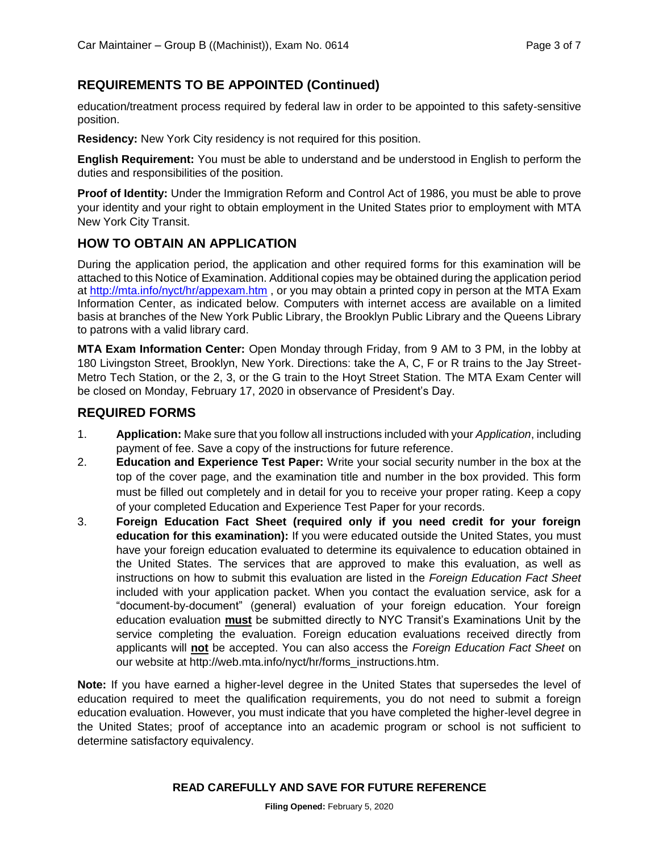#### **REQUIREMENTS TO BE APPOINTED (Continued)**

education/treatment process required by federal law in order to be appointed to this safety-sensitive position.

**Residency:** New York City residency is not required for this position.

**English Requirement:** You must be able to understand and be understood in English to perform the duties and responsibilities of the position.

**Proof of Identity:** Under the Immigration Reform and Control Act of 1986, you must be able to prove your identity and your right to obtain employment in the United States prior to employment with MTA New York City Transit.

#### **HOW TO OBTAIN AN APPLICATION**

During the application period, the application and other required forms for this examination will be attached to this Notice of Examination. Additional copies may be obtained during the application period at<http://mta.info/nyct/hr/appexam.htm> , or you may obtain a printed copy in person at the MTA Exam Information Center, as indicated below. Computers with internet access are available on a limited basis at branches of the New York Public Library, the Brooklyn Public Library and the Queens Library to patrons with a valid library card.

**MTA Exam Information Center:** Open Monday through Friday, from 9 AM to 3 PM, in the lobby at 180 Livingston Street, Brooklyn, New York. Directions: take the A, C, F or R trains to the Jay Street-Metro Tech Station, or the 2, 3, or the G train to the Hoyt Street Station. The MTA Exam Center will be closed on Monday, February 17, 2020 in observance of President's Day.

#### **REQUIRED FORMS**

- 1. **Application:** Make sure that you follow all instructions included with your *Application*, including payment of fee. Save a copy of the instructions for future reference.
- 2. **Education and Experience Test Paper:** Write your social security number in the box at the top of the cover page, and the examination title and number in the box provided. This form must be filled out completely and in detail for you to receive your proper rating. Keep a copy of your completed Education and Experience Test Paper for your records.
- 3. **Foreign Education Fact Sheet (required only if you need credit for your foreign education for this examination):** If you were educated outside the United States, you must have your foreign education evaluated to determine its equivalence to education obtained in the United States. The services that are approved to make this evaluation, as well as instructions on how to submit this evaluation are listed in the *Foreign Education Fact Sheet* included with your application packet. When you contact the evaluation service, ask for a "document-by-document" (general) evaluation of your foreign education. Your foreign education evaluation **must** be submitted directly to NYC Transit's Examinations Unit by the service completing the evaluation. Foreign education evaluations received directly from applicants will **not** be accepted. You can also access the *Foreign Education Fact Sheet* on our website at http://web.mta.info/nyct/hr/forms\_instructions.htm.

**Note:** If you have earned a higher-level degree in the United States that supersedes the level of education required to meet the qualification requirements, you do not need to submit a foreign education evaluation. However, you must indicate that you have completed the higher-level degree in the United States; proof of acceptance into an academic program or school is not sufficient to determine satisfactory equivalency.

#### **READ CAREFULLY AND SAVE FOR FUTURE REFERENCE**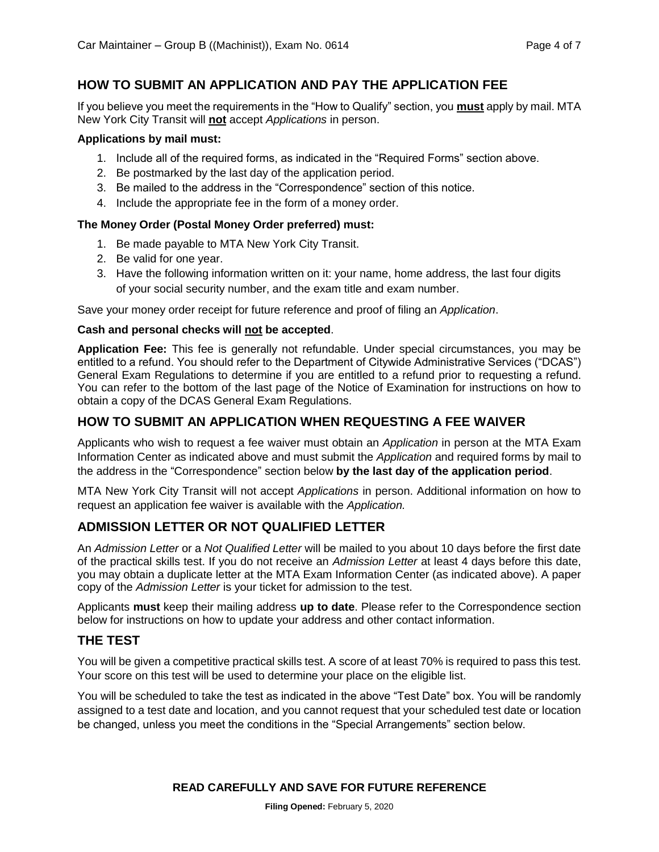#### **HOW TO SUBMIT AN APPLICATION AND PAY THE APPLICATION FEE**

If you believe you meet the requirements in the "How to Qualify" section, you **must** apply by mail. MTA New York City Transit will **not** accept *Applications* in person.

#### **Applications by mail must:**

- 1. Include all of the required forms, as indicated in the "Required Forms" section above.
- 2. Be postmarked by the last day of the application period.
- 3. Be mailed to the address in the "Correspondence" section of this notice.
- 4. Include the appropriate fee in the form of a money order.

#### **The Money Order (Postal Money Order preferred) must:**

- 1. Be made payable to MTA New York City Transit.
- 2. Be valid for one year.
- 3. Have the following information written on it: your name, home address, the last four digits of your social security number, and the exam title and exam number.

Save your money order receipt for future reference and proof of filing an *Application*.

#### **Cash and personal checks will not be accepted**.

**Application Fee:** This fee is generally not refundable. Under special circumstances, you may be entitled to a refund. You should refer to the Department of Citywide Administrative Services ("DCAS") General Exam Regulations to determine if you are entitled to a refund prior to requesting a refund. You can refer to the bottom of the last page of the Notice of Examination for instructions on how to obtain a copy of the DCAS General Exam Regulations.

#### **HOW TO SUBMIT AN APPLICATION WHEN REQUESTING A FEE WAIVER**

Applicants who wish to request a fee waiver must obtain an *Application* in person at the MTA Exam Information Center as indicated above and must submit the *Application* and required forms by mail to the address in the "Correspondence" section below **by the last day of the application period**.

MTA New York City Transit will not accept *Applications* in person. Additional information on how to request an application fee waiver is available with the *Application.*

#### **ADMISSION LETTER OR NOT QUALIFIED LETTER**

An *Admission Letter* or a *Not Qualified Letter* will be mailed to you about 10 days before the first date of the practical skills test. If you do not receive an *Admission Letter* at least 4 days before this date, you may obtain a duplicate letter at the MTA Exam Information Center (as indicated above). A paper copy of the *Admission Letter* is your ticket for admission to the test.

Applicants **must** keep their mailing address **up to date**. Please refer to the Correspondence section below for instructions on how to update your address and other contact information.

#### **THE TEST**

You will be given a competitive practical skills test. A score of at least 70% is required to pass this test. Your score on this test will be used to determine your place on the eligible list.

You will be scheduled to take the test as indicated in the above "Test Date" box. You will be randomly assigned to a test date and location, and you cannot request that your scheduled test date or location be changed, unless you meet the conditions in the "Special Arrangements" section below.

#### **READ CAREFULLY AND SAVE FOR FUTURE REFERENCE**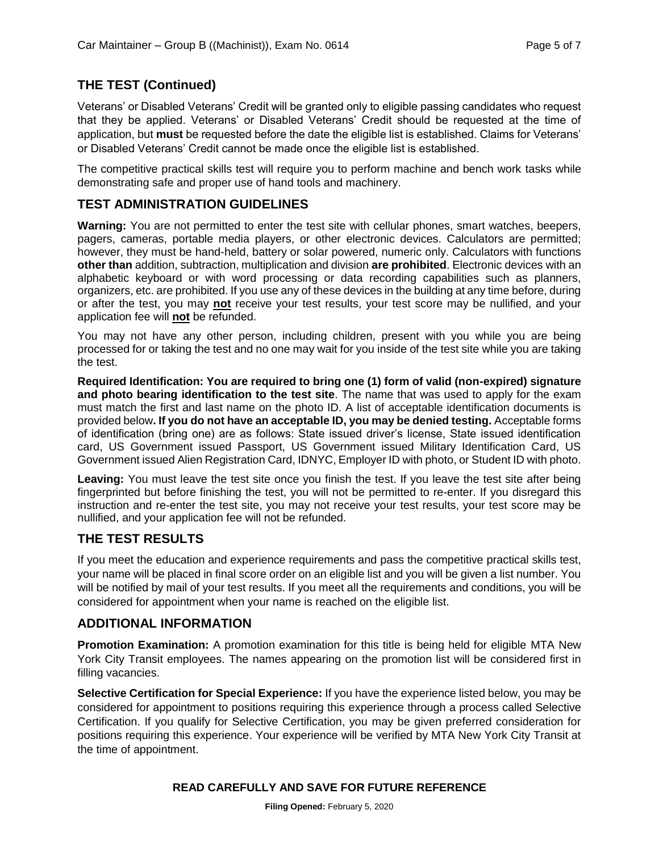#### **THE TEST (Continued)**

Veterans' or Disabled Veterans' Credit will be granted only to eligible passing candidates who request that they be applied. Veterans' or Disabled Veterans' Credit should be requested at the time of application, but **must** be requested before the date the eligible list is established. Claims for Veterans' or Disabled Veterans' Credit cannot be made once the eligible list is established.

The competitive practical skills test will require you to perform machine and bench work tasks while demonstrating safe and proper use of hand tools and machinery.

#### **TEST ADMINISTRATION GUIDELINES**

**Warning:** You are not permitted to enter the test site with cellular phones, smart watches, beepers, pagers, cameras, portable media players, or other electronic devices. Calculators are permitted; however, they must be hand-held, battery or solar powered, numeric only. Calculators with functions **other than** addition, subtraction, multiplication and division **are prohibited**. Electronic devices with an alphabetic keyboard or with word processing or data recording capabilities such as planners, organizers, etc. are prohibited. If you use any of these devices in the building at any time before, during or after the test, you may **not** receive your test results, your test score may be nullified, and your application fee will **not** be refunded.

You may not have any other person, including children, present with you while you are being processed for or taking the test and no one may wait for you inside of the test site while you are taking the test.

**Required Identification: You are required to bring one (1) form of valid (non-expired) signature and photo bearing identification to the test site**. The name that was used to apply for the exam must match the first and last name on the photo ID. A list of acceptable identification documents is provided below**. If you do not have an acceptable ID, you may be denied testing.** Acceptable forms of identification (bring one) are as follows: State issued driver's license, State issued identification card, US Government issued Passport, US Government issued Military Identification Card, US Government issued Alien Registration Card, IDNYC, Employer ID with photo, or Student ID with photo.

Leaving: You must leave the test site once you finish the test. If you leave the test site after being fingerprinted but before finishing the test, you will not be permitted to re-enter. If you disregard this instruction and re-enter the test site, you may not receive your test results, your test score may be nullified, and your application fee will not be refunded.

#### **THE TEST RESULTS**

If you meet the education and experience requirements and pass the competitive practical skills test, your name will be placed in final score order on an eligible list and you will be given a list number. You will be notified by mail of your test results. If you meet all the requirements and conditions, you will be considered for appointment when your name is reached on the eligible list.

#### **ADDITIONAL INFORMATION**

**Promotion Examination:** A promotion examination for this title is being held for eligible MTA New York City Transit employees. The names appearing on the promotion list will be considered first in filling vacancies.

**Selective Certification for Special Experience:** If you have the experience listed below, you may be considered for appointment to positions requiring this experience through a process called Selective Certification. If you qualify for Selective Certification, you may be given preferred consideration for positions requiring this experience. Your experience will be verified by MTA New York City Transit at the time of appointment.

#### **READ CAREFULLY AND SAVE FOR FUTURE REFERENCE**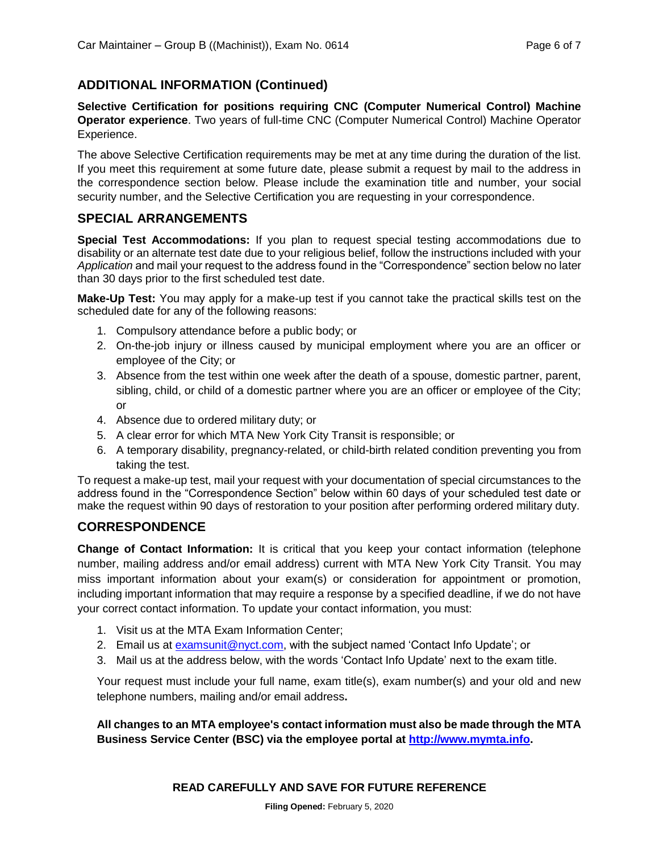#### **ADDITIONAL INFORMATION (Continued)**

**Selective Certification for positions requiring CNC (Computer Numerical Control) Machine Operator experience**. Two years of full-time CNC (Computer Numerical Control) Machine Operator Experience.

The above Selective Certification requirements may be met at any time during the duration of the list. If you meet this requirement at some future date, please submit a request by mail to the address in the correspondence section below. Please include the examination title and number, your social security number, and the Selective Certification you are requesting in your correspondence.

#### **SPECIAL ARRANGEMENTS**

**Special Test Accommodations:** If you plan to request special testing accommodations due to disability or an alternate test date due to your religious belief, follow the instructions included with your *Application* and mail your request to the address found in the "Correspondence" section below no later than 30 days prior to the first scheduled test date.

**Make-Up Test:** You may apply for a make-up test if you cannot take the practical skills test on the scheduled date for any of the following reasons:

- 1. Compulsory attendance before a public body; or
- 2. On-the-job injury or illness caused by municipal employment where you are an officer or employee of the City; or
- 3. Absence from the test within one week after the death of a spouse, domestic partner, parent, sibling, child, or child of a domestic partner where you are an officer or employee of the City; or
- 4. Absence due to ordered military duty; or
- 5. A clear error for which MTA New York City Transit is responsible; or
- 6. A temporary disability, pregnancy-related, or child-birth related condition preventing you from taking the test.

To request a make-up test, mail your request with your documentation of special circumstances to the address found in the "Correspondence Section" below within 60 days of your scheduled test date or make the request within 90 days of restoration to your position after performing ordered military duty.

#### **CORRESPONDENCE**

**Change of Contact Information:** It is critical that you keep your contact information (telephone number, mailing address and/or email address) current with MTA New York City Transit. You may miss important information about your exam(s) or consideration for appointment or promotion, including important information that may require a response by a specified deadline, if we do not have your correct contact information. To update your contact information, you must:

- 1. Visit us at the MTA Exam Information Center;
- 2. Email us at [examsunit@nyct.com,](mailto:examsunit@nyct.com) with the subject named 'Contact Info Update'; or
- 3. Mail us at the address below, with the words 'Contact Info Update' next to the exam title.

Your request must include your full name, exam title(s), exam number(s) and your old and new telephone numbers, mailing and/or email address**.** 

**All changes to an MTA employee's contact information must also be made through the MTA Business Service Center (BSC) via the employee portal at [http://www.mymta.info.](http://www.mymta.info/)**